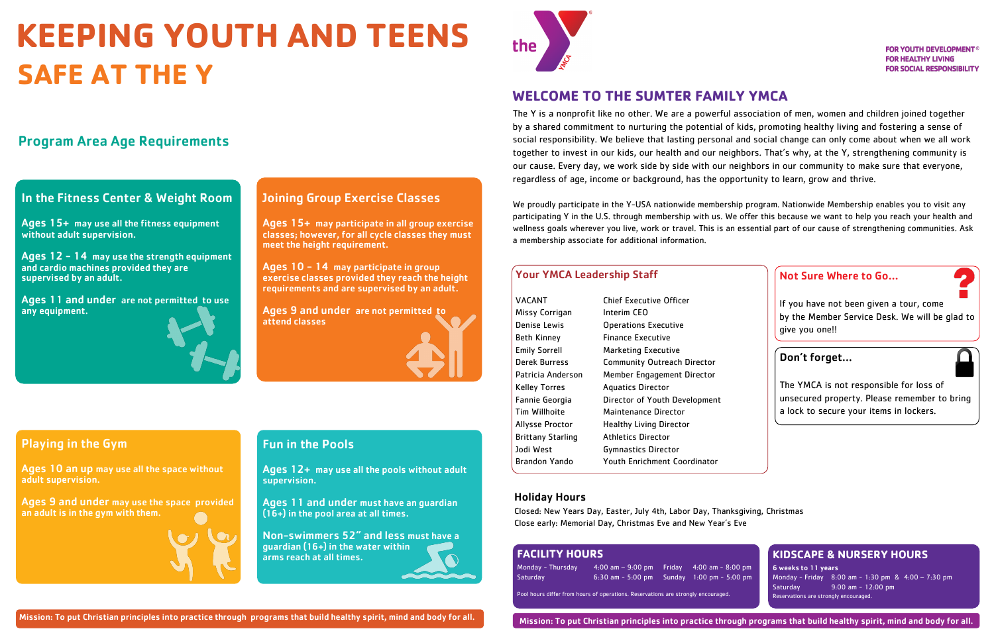# **KEEPING YOUTH AND TEENS SAFE AT THE Y**

# Program Area Age Requirements

# In the Fitness Center & Weight Room

Ages 15+ may use all the fitness equipment without adult supervision.

Ages 12 - 14 may use the strength equipment and cardio machines provided they are supervised by an adult.

Ages 11 and under are not permitted to use any equipment.



## Joining Group Exercise Classes

Ages 15+ may participate in all group exercise classes; however, for all cycle classes they must meet the height requirement.

Ages 10 - 14 may participate in group exercise classes provided they reach the height requirements and are supervised by an adult.

Ages 9 and under are not permitted to attend classes



# Playing in the Gym

Ages 10 an up may use all the space without adult supervision.

Ages 9 and under may use the space provided an adult is in the gym with them.

# Fun in the Pools

Ages 12+ may use all the pools without adult supervision.

Ages 11 and under must have an guardian (16+) in the pool area at all times.

Non-swimmers 52" and less must have a guardian (16+) in the water within arms reach at all times.



The Y is a nonprofit like no other. We are a powerful association of men, women and children joined together by a shared commitment to nurturing the potential of kids, promoting healthy living and fostering a sense of social responsibility. We believe that lasting personal and social change can only come about when we all work together to invest in our kids, our health and our neighbors. That's why, at the Y, strengthening community is our cause. Every day, we work side by side with our neighbors in our community to make sure that everyone, regardless of age, income or background, has the opportunity to learn, grow and thrive.

We proudly participate in the Y-USA nationwide membership program. Nationwide Membership enables you to visit any participating Y in the U.S. through membership with us. We offer this because we want to help you reach your health and wellness goals wherever you live, work or travel. This is an essential part of our cause of strengthening communities. Ask a membership associate for additional information.

#### Holiday Hours

Closed: New Years Day, Easter, July 4th, Labor Day, Thanksgiving, Christmas Close early: Memorial Day, Christmas Eve and New Year's Eve

Mission: To put Christian principles into practice through programs that build healthy spirit, mind and body for all.

# **WELCOME TO THE SUMTER FAMILY YMCA**

# **KIDSCAPE & NURSERY HOURS**

6 weeks to 11 years Monday - Friday 8:00 am - 1:30 pm & 4:00 – 7:30 pm Saturday 9:00 am - 12:00 pm Reservations are strongly encouraged.

## Not Sure Where to Go…

If you have not been given a tour, come by the Member Service Desk. We will be glad to give you one!!

### Don't forget…

The YMCA is not responsible for loss of unsecured property. Please remember to bring a lock to secure your items in lockers.

#### Your YMCA Leadership Staff

VACANT Chief Executive Officer Missy Corrigan Interim CEO Denise Lewis Operations Executive Beth Kinney Finance Executive Emily Sorrell Marketing Executive Derek Burress Community Outreach Director Patricia Anderson Member Engagement Director Kelley Torres Aquatics Director Tim Willhoite Maintenance Director Allysse Proctor Healthy Living Director Brittany Starling Athletics Director Jodi West Gymnastics Director Brandon Yando Youth Enrichment Coordinator

Fannie Georgia Director of Youth Development

#### **FACILITY HOURS**

| Monday - Thursday | $4:00$ am $-9:00$ pm Friday $4:00$ am $-8:00$ pm |                             |
|-------------------|--------------------------------------------------|-----------------------------|
| Saturday          | $6:30$ am $-5:00$ pm                             | Sunday $1:00$ pm $-5:00$ pm |

Pool hours differ from hours of operations. Reservations are strongly encouraged.